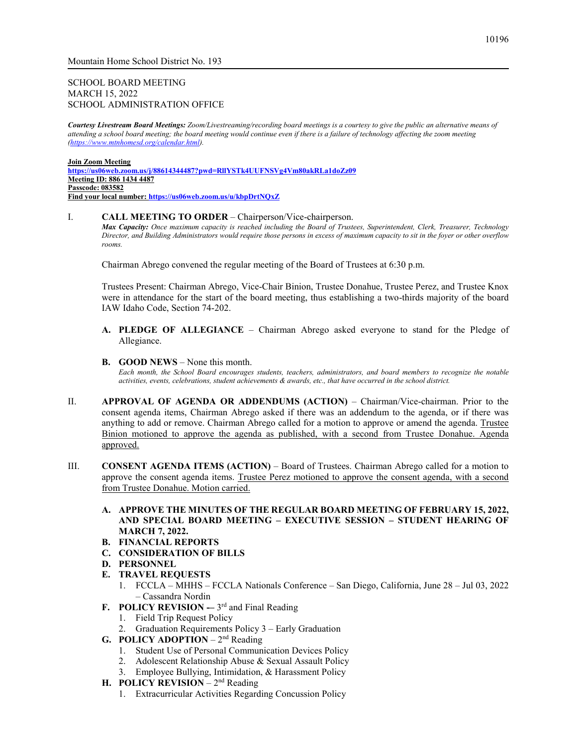## SCHOOL BOARD MEETING MARCH 15, 2022 SCHOOL ADMINISTRATION OFFICE

*Courtesy Livestream Board Meetings: Zoom/Livestreaming/recording board meetings is a courtesy to give the public an alternative means of attending a school board meeting; the board meeting would continue even if there is a failure of technology affecting the zoom meeting [\(https://www.mtnhomesd.org/calendar.html\)](https://www.mtnhomesd.org/calendar.html).*

#### **Join Zoom Meeting <https://us06web.zoom.us/j/88614344487?pwd=RllYSTk4UUFNSVg4Vm80akRLa1doZz09> Meeting ID: 886 1434 4487 Passcode: 083582 Find your local number:<https://us06web.zoom.us/u/kbpDrtNQxZ>**

#### I. **CALL MEETING TO ORDER** – Chairperson/Vice-chairperson.

*Max Capacity: Once maximum capacity is reached including the Board of Trustees, Superintendent, Clerk, Treasurer, Technology Director, and Building Administrators would require those persons in excess of maximum capacity to sit in the foyer or other overflow rooms.*

Chairman Abrego convened the regular meeting of the Board of Trustees at 6:30 p.m.

Trustees Present: Chairman Abrego, Vice-Chair Binion, Trustee Donahue, Trustee Perez, and Trustee Knox were in attendance for the start of the board meeting, thus establishing a two-thirds majority of the board IAW Idaho Code, Section 74-202.

- **A. PLEDGE OF ALLEGIANCE** Chairman Abrego asked everyone to stand for the Pledge of Allegiance.
- **B. GOOD NEWS**  None this month.

*Each month, the School Board encourages students, teachers, administrators, and board members to recognize the notable activities, events, celebrations, student achievements & awards, etc., that have occurred in the school district.*

- II. **APPROVAL OF AGENDA OR ADDENDUMS (ACTION)**  Chairman/Vice-chairman. Prior to the consent agenda items, Chairman Abrego asked if there was an addendum to the agenda, or if there was anything to add or remove. Chairman Abrego called for a motion to approve or amend the agenda. Trustee Binion motioned to approve the agenda as published, with a second from Trustee Donahue. Agenda approved.
- III. **CONSENT AGENDA ITEMS (ACTION)**  Board of Trustees. Chairman Abrego called for a motion to approve the consent agenda items. Trustee Perez motioned to approve the consent agenda, with a second from Trustee Donahue. Motion carried.
	- **A. APPROVE THE MINUTES OF THE REGULAR BOARD MEETING OF FEBRUARY 15, 2022, AND SPECIAL BOARD MEETING – EXECUTIVE SESSION – STUDENT HEARING OF MARCH 7, 2022.**
	- **B. FINANCIAL REPORTS**
	- **C. CONSIDERATION OF BILLS**
	- **D. PERSONNEL**
	- **E. TRAVEL REQUESTS**
		- 1. FCCLA MHHS FCCLA Nationals Conference San Diego, California, June 28 Jul 03, 2022 – Cassandra Nordin
	- **F. POLICY REVISION** -– 3<sup>rd</sup> and Final Reading
		- 1. Field Trip Request Policy
		- 2. Graduation Requirements Policy 3 Early Graduation
	- **G. POLICY ADOPTION**  2nd Reading
		- 1. Student Use of Personal Communication Devices Policy
		- 2. Adolescent Relationship Abuse & Sexual Assault Policy
		- 3. Employee Bullying, Intimidation, & Harassment Policy
	- **H. POLICY REVISION** 2<sup>nd</sup> Reading
		- 1. Extracurricular Activities Regarding Concussion Policy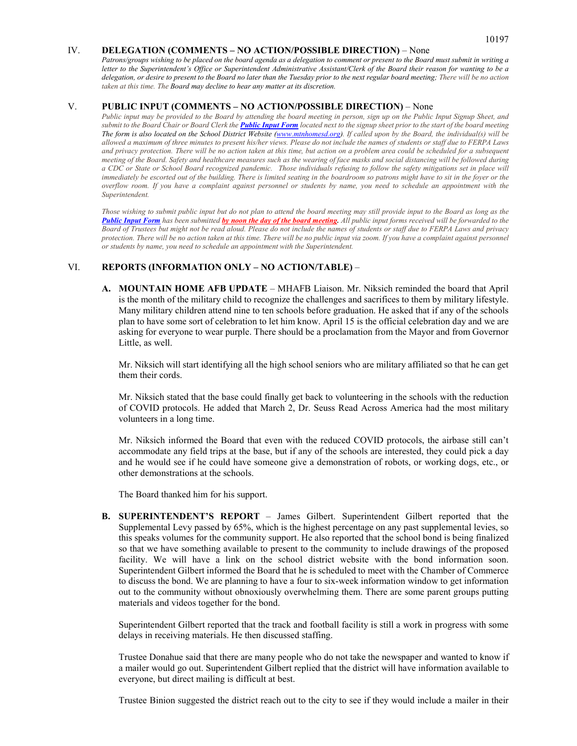#### IV. **DELEGATION (COMMENTS – NO ACTION/POSSIBLE DIRECTION)** – None

*Patrons/groups wishing to be placed on the board agenda as a delegation to comment or present to the Board must submit in writing a letter to the Superintendent's Office or Superintendent Administrative Assistant/Clerk of the Board their reason for wanting to be a delegation, or desire to present to the Board no later than the Tuesday prior to the next regular board meeting; There will be no action taken at this time. The Board may decline to hear any matter at its discretion.*

#### V. **PUBLIC INPUT (COMMENTS – NO ACTION/POSSIBLE DIRECTION)** – None

*Public input may be provided to the Board by attending the board meeting in person, sign up on the Public Input Signup Sheet, and submit to the Board Chair or Board Clerk the [Public Input Form](https://www.mtnhomesd.org/public-input-form.html) located next to the signup sheet prior to the start of the board meeting The form is also located on the School District Website [\(www.mtnhomesd.org\)](http://www.mtnhomesd.org/). If called upon by the Board, the individual(s) will be allowed a maximum of three minutes to present his/her views. Please do not include the names of students or staff due to FERPA Laws and privacy protection. There will be no action taken at this time, but action on a problem area could be scheduled for a subsequent meeting of the Board. Safety and healthcare measures such as the wearing of face masks and social distancing will be followed during a CDC or State or School Board recognized pandemic. Those individuals refusing to follow the safety mitigations set in place will immediately be escorted out of the building. There is limited seating in the boardroom so patrons might have to sit in the foyer or the overflow room. If you have a complaint against personnel or students by name, you need to schedule an appointment with the Superintendent.*

*Those wishing to submit public input but do not plan to attend the board meeting may still provide input to the Board as long as the [Public Input Form](https://www.mtnhomesd.org/public-input-form.html) has been submitted by noon the day of the board meeting. All public input forms received will be forwarded to the Board of Trustees but might not be read aloud. Please do not include the names of students or staff due to FERPA Laws and privacy protection. There will be no action taken at this time. There will be no public input via zoom. If you have a complaint against personnel or students by name, you need to schedule an appointment with the Superintendent.*

#### VI. **REPORTS (INFORMATION ONLY – NO ACTION/TABLE)** –

**A. MOUNTAIN HOME AFB UPDATE** – MHAFB Liaison. Mr. Niksich reminded the board that April is the month of the military child to recognize the challenges and sacrifices to them by military lifestyle. Many military children attend nine to ten schools before graduation. He asked that if any of the schools plan to have some sort of celebration to let him know. April 15 is the official celebration day and we are asking for everyone to wear purple. There should be a proclamation from the Mayor and from Governor Little, as well.

Mr. Niksich will start identifying all the high school seniors who are military affiliated so that he can get them their cords.

Mr. Niksich stated that the base could finally get back to volunteering in the schools with the reduction of COVID protocols. He added that March 2, Dr. Seuss Read Across America had the most military volunteers in a long time.

Mr. Niksich informed the Board that even with the reduced COVID protocols, the airbase still can't accommodate any field trips at the base, but if any of the schools are interested, they could pick a day and he would see if he could have someone give a demonstration of robots, or working dogs, etc., or other demonstrations at the schools.

The Board thanked him for his support.

**B. SUPERINTENDENT'S REPORT** – James Gilbert. Superintendent Gilbert reported that the Supplemental Levy passed by 65%, which is the highest percentage on any past supplemental levies, so this speaks volumes for the community support. He also reported that the school bond is being finalized so that we have something available to present to the community to include drawings of the proposed facility. We will have a link on the school district website with the bond information soon. Superintendent Gilbert informed the Board that he is scheduled to meet with the Chamber of Commerce to discuss the bond. We are planning to have a four to six-week information window to get information out to the community without obnoxiously overwhelming them. There are some parent groups putting materials and videos together for the bond.

Superintendent Gilbert reported that the track and football facility is still a work in progress with some delays in receiving materials. He then discussed staffing.

Trustee Donahue said that there are many people who do not take the newspaper and wanted to know if a mailer would go out. Superintendent Gilbert replied that the district will have information available to everyone, but direct mailing is difficult at best.

Trustee Binion suggested the district reach out to the city to see if they would include a mailer in their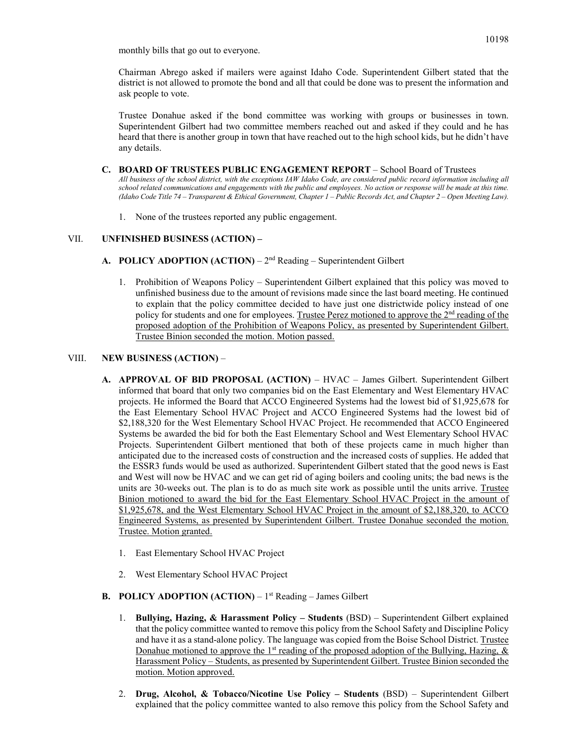monthly bills that go out to everyone.

Chairman Abrego asked if mailers were against Idaho Code. Superintendent Gilbert stated that the district is not allowed to promote the bond and all that could be done was to present the information and ask people to vote.

Trustee Donahue asked if the bond committee was working with groups or businesses in town. Superintendent Gilbert had two committee members reached out and asked if they could and he has heard that there is another group in town that have reached out to the high school kids, but he didn't have any details.

- **C. BOARD OF TRUSTEES PUBLIC ENGAGEMENT REPORT** School Board of Trustees *All business of the school district, with the exceptions IAW Idaho Code, are considered public record information including all school related communications and engagements with the public and employees. No action or response will be made at this time. (Idaho Code Title 74 – Transparent & Ethical Government, Chapter 1 – Public Records Act, and Chapter 2 – Open Meeting Law).*
	- 1. None of the trustees reported any public engagement.

## VII. **UNFINISHED BUSINESS (ACTION) –**

- **A. POLICY ADOPTION (ACTION)** 2nd Reading Superintendent Gilbert
	- 1. Prohibition of Weapons Policy Superintendent Gilbert explained that this policy was moved to unfinished business due to the amount of revisions made since the last board meeting. He continued to explain that the policy committee decided to have just one districtwide policy instead of one policy for students and one for employees. Trustee Perez motioned to approve the  $2<sup>nd</sup>$  reading of the proposed adoption of the Prohibition of Weapons Policy, as presented by Superintendent Gilbert. Trustee Binion seconded the motion. Motion passed.

### VIII. **NEW BUSINESS (ACTION)** –

- **A. APPROVAL OF BID PROPOSAL (ACTION)**  HVAC James Gilbert. Superintendent Gilbert informed that board that only two companies bid on the East Elementary and West Elementary HVAC projects. He informed the Board that ACCO Engineered Systems had the lowest bid of \$1,925,678 for the East Elementary School HVAC Project and ACCO Engineered Systems had the lowest bid of \$2,188,320 for the West Elementary School HVAC Project. He recommended that ACCO Engineered Systems be awarded the bid for both the East Elementary School and West Elementary School HVAC Projects. Superintendent Gilbert mentioned that both of these projects came in much higher than anticipated due to the increased costs of construction and the increased costs of supplies. He added that the ESSR3 funds would be used as authorized. Superintendent Gilbert stated that the good news is East and West will now be HVAC and we can get rid of aging boilers and cooling units; the bad news is the units are 30-weeks out. The plan is to do as much site work as possible until the units arrive. Trustee Binion motioned to award the bid for the East Elementary School HVAC Project in the amount of \$1,925,678, and the West Elementary School HVAC Project in the amount of \$2,188,320, to ACCO Engineered Systems, as presented by Superintendent Gilbert. Trustee Donahue seconded the motion. Trustee. Motion granted.
	- 1. East Elementary School HVAC Project
	- 2. West Elementary School HVAC Project
- **B. POLICY ADOPTION (ACTION)** 1st Reading James Gilbert
	- 1. **Bullying, Hazing, & Harassment Policy – Students** (BSD) Superintendent Gilbert explained that the policy committee wanted to remove this policy from the School Safety and Discipline Policy and have it as a stand-alone policy. The language was copied from the Boise School District. Trustee Donahue motioned to approve the 1<sup>st</sup> reading of the proposed adoption of the Bullying, Hazing,  $\&$ Harassment Policy – Students, as presented by Superintendent Gilbert. Trustee Binion seconded the motion. Motion approved.
	- 2. **Drug, Alcohol, & Tobacco/Nicotine Use Policy – Students** (BSD) Superintendent Gilbert explained that the policy committee wanted to also remove this policy from the School Safety and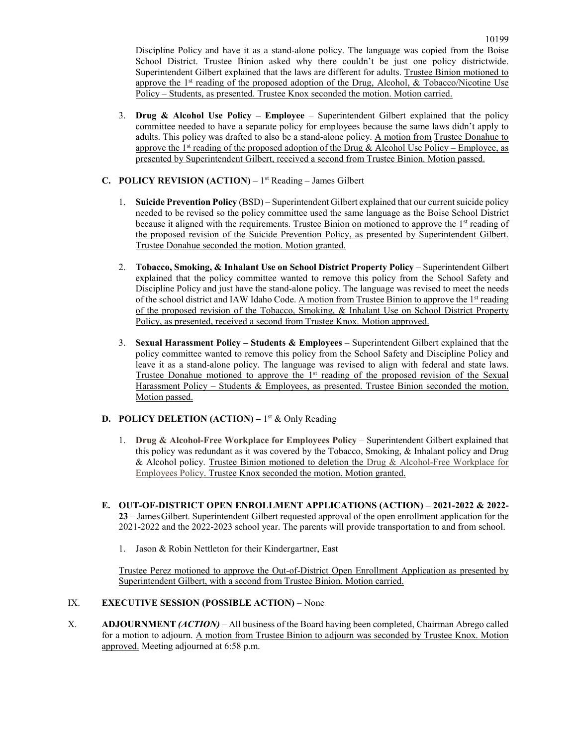- 3. **Drug & Alcohol Use Policy – Employee** Superintendent Gilbert explained that the policy committee needed to have a separate policy for employees because the same laws didn't apply to adults. This policy was drafted to also be a stand-alone policy. A motion from Trustee Donahue to approve the 1<sup>st</sup> reading of the proposed adoption of the Drug & Alcohol Use Policy – Employee, as presented by Superintendent Gilbert, received a second from Trustee Binion. Motion passed.
- **C. POLICY REVISION (ACTION)** 1st Reading James Gilbert
	- 1. **Suicide Prevention Policy** (BSD) Superintendent Gilbert explained that our current suicide policy needed to be revised so the policy committee used the same language as the Boise School District because it aligned with the requirements. Trustee Binion on motioned to approve the 1<sup>st</sup> reading of the proposed revision of the Suicide Prevention Policy, as presented by Superintendent Gilbert. Trustee Donahue seconded the motion. Motion granted.
	- 2. **Tobacco, Smoking, & Inhalant Use on School District Property Policy** Superintendent Gilbert explained that the policy committee wanted to remove this policy from the School Safety and Discipline Policy and just have the stand-alone policy. The language was revised to meet the needs of the school district and IAW Idaho Code. A motion from Trustee Binion to approve the 1<sup>st</sup> reading of the proposed revision of the Tobacco, Smoking, & Inhalant Use on School District Property Policy, as presented, received a second from Trustee Knox. Motion approved.
	- 3. **Sexual Harassment Policy – Students & Employees** Superintendent Gilbert explained that the policy committee wanted to remove this policy from the School Safety and Discipline Policy and leave it as a stand-alone policy. The language was revised to align with federal and state laws. Trustee Donahue motioned to approve the  $1<sup>st</sup>$  reading of the proposed revision of the Sexual Harassment Policy – Students & Employees, as presented. Trustee Binion seconded the motion. Motion passed.

# **D. POLICY DELETION (ACTION)** – 1<sup>st</sup> & Only Reading

- 1. **Drug & Alcohol-Free Workplace for Employees Policy** Superintendent Gilbert explained that this policy was redundant as it was covered by the Tobacco, Smoking, & Inhalant policy and Drug & Alcohol policy. Trustee Binion motioned to deletion the Drug & Alcohol-Free Workplace for Employees Policy. Trustee Knox seconded the motion. Motion granted.
- **E. OUT-OF-DISTRICT OPEN ENROLLMENT APPLICATIONS (ACTION) – 2021-2022 & 2022- 23** – JamesGilbert. Superintendent Gilbert requested approval of the open enrollment application for the 2021-2022 and the 2022-2023 school year. The parents will provide transportation to and from school.
	- 1. Jason & Robin Nettleton for their Kindergartner, East

Trustee Perez motioned to approve the Out-of-District Open Enrollment Application as presented by Superintendent Gilbert, with a second from Trustee Binion. Motion carried.

## IX. **EXECUTIVE SESSION (POSSIBLE ACTION)** – None

X. **ADJOURNMENT** *(ACTION)* – All business of the Board having been completed, Chairman Abrego called for a motion to adjourn. A motion from Trustee Binion to adjourn was seconded by Trustee Knox. Motion approved. Meeting adjourned at 6:58 p.m.